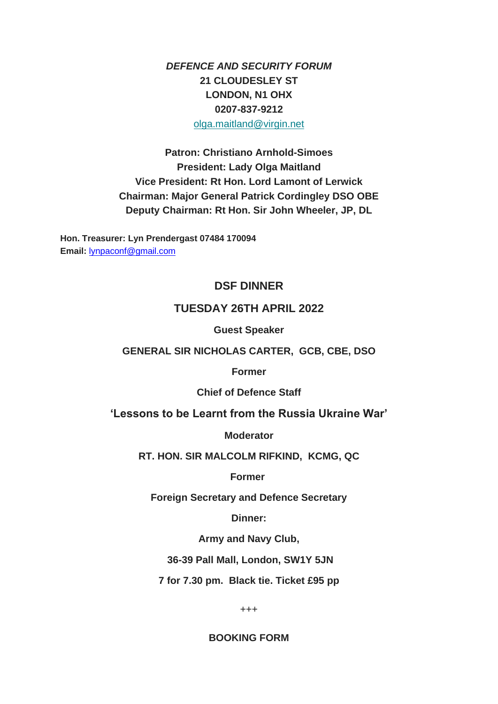*DEFENCE AND SECURITY FORUM* **21 CLOUDESLEY ST LONDON, N1 OHX 0207-837-9212** [olga.maitland@virgin.net](mailto:olga.maitland@virgin.net)

**Patron: Christiano Arnhold-Simoes President: Lady Olga Maitland Vice President: Rt Hon. Lord Lamont of Lerwick Chairman: Major General Patrick Cordingley DSO OBE Deputy Chairman: Rt Hon. Sir John Wheeler, JP, DL**

**Hon. Treasurer: Lyn Prendergast 07484 170094 Email:** [lynpaconf@gmail.com](mailto:lynpaconf@gmail.com)

### **DSF DINNER**

### **TUESDAY 26TH APRIL 2022**

**Guest Speaker**

#### **GENERAL SIR NICHOLAS CARTER, GCB, CBE, DSO**

**Former**

**Chief of Defence Staff**

**'Lessons to be Learnt from the Russia Ukraine War'**

**Moderator**

**RT. HON. SIR MALCOLM RIFKIND, KCMG, QC**

**Former**

**Foreign Secretary and Defence Secretary**

**Dinner:**

**Army and Navy Club,**

**36-39 Pall Mall, London, SW1Y 5JN**

**7 for 7.30 pm. Black tie. Ticket £95 pp**

+++

**BOOKING FORM**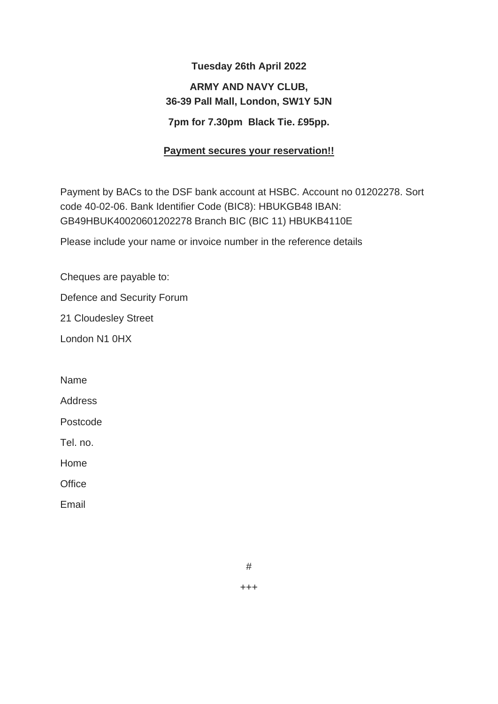# **Tuesday 26th April 2022 ARMY AND NAVY CLUB, 36-39 Pall Mall, London, SW1Y 5JN 7pm for 7.30pm Black Tie. £95pp.**

## **Payment secures your reservation!!**

Payment by BACs to the DSF bank account at HSBC. Account no 01202278. Sort code 40-02-06. Bank Identifier Code (BIC8): HBUKGB48 IBAN: GB49HBUK40020601202278 Branch BIC (BIC 11) HBUKB4110E

Please include your name or invoice number in the reference details

Cheques are payable to:

Defence and Security Forum

21 Cloudesley Street

London N1 0HX

Name

Address

Postcode

Tel. no.

Home

**Office** 

Email

#

+++